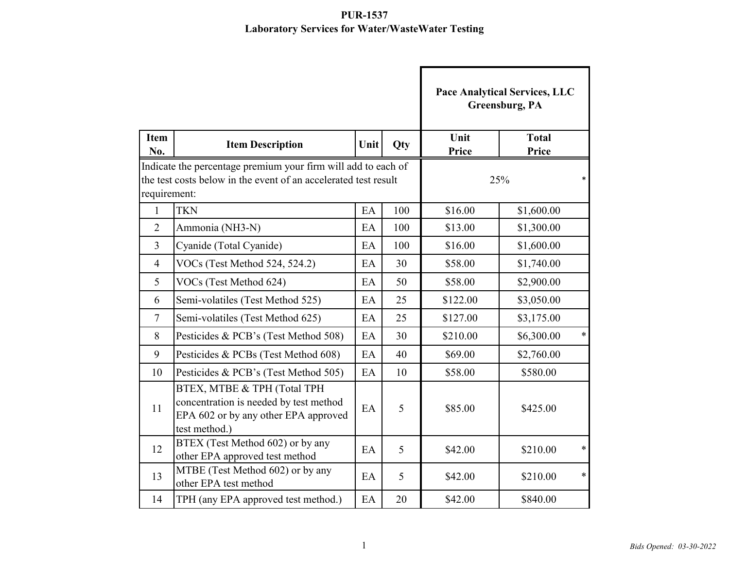|                                                                                                                                                  |                                                                                                                                |      |               | <b>Pace Analytical Services, LLC</b><br>Greensburg, PA |                       |  |
|--------------------------------------------------------------------------------------------------------------------------------------------------|--------------------------------------------------------------------------------------------------------------------------------|------|---------------|--------------------------------------------------------|-----------------------|--|
| <b>Item</b><br>No.                                                                                                                               | <b>Item Description</b>                                                                                                        | Unit | Qty           | Unit<br>Price                                          | <b>Total</b><br>Price |  |
| Indicate the percentage premium your firm will add to each of<br>the test costs below in the event of an accelerated test result<br>requirement: |                                                                                                                                |      | 25%<br>$\ast$ |                                                        |                       |  |
| $\mathbf{1}$                                                                                                                                     | <b>TKN</b>                                                                                                                     | EA   | 100           | \$16.00                                                | \$1,600.00            |  |
| $\overline{2}$                                                                                                                                   | Ammonia (NH3-N)                                                                                                                | EA   | 100           | \$13.00                                                | \$1,300.00            |  |
| $\overline{3}$                                                                                                                                   | Cyanide (Total Cyanide)                                                                                                        | EA   | 100           | \$16.00                                                | \$1,600.00            |  |
| $\overline{4}$                                                                                                                                   | VOCs (Test Method 524, 524.2)                                                                                                  | EA   | 30            | \$58.00                                                | \$1,740.00            |  |
| 5                                                                                                                                                | VOCs (Test Method 624)                                                                                                         | EA   | 50            | \$58.00                                                | \$2,900.00            |  |
| 6                                                                                                                                                | Semi-volatiles (Test Method 525)                                                                                               | EA   | 25            | \$122.00                                               | \$3,050.00            |  |
| $\overline{7}$                                                                                                                                   | Semi-volatiles (Test Method 625)                                                                                               | EA   | 25            | \$127.00                                               | \$3,175.00            |  |
| 8                                                                                                                                                | Pesticides & PCB's (Test Method 508)                                                                                           | EA   | 30            | \$210.00                                               | $\ast$<br>\$6,300.00  |  |
| 9                                                                                                                                                | Pesticides & PCBs (Test Method 608)                                                                                            | EA   | 40            | \$69.00                                                | \$2,760.00            |  |
| 10                                                                                                                                               | Pesticides & PCB's (Test Method 505)                                                                                           | EA   | 10            | \$58.00                                                | \$580.00              |  |
| 11                                                                                                                                               | BTEX, MTBE & TPH (Total TPH<br>concentration is needed by test method<br>EPA 602 or by any other EPA approved<br>test method.) | EA   | 5             | \$85.00                                                | \$425.00              |  |
| 12                                                                                                                                               | BTEX (Test Method 602) or by any<br>other EPA approved test method                                                             | EA   | 5             | \$42.00                                                | $\ast$<br>\$210.00    |  |
| 13                                                                                                                                               | MTBE (Test Method 602) or by any<br>other EPA test method                                                                      | EA   | 5             | \$42.00                                                | $\ast$<br>\$210.00    |  |
| 14                                                                                                                                               | TPH (any EPA approved test method.)                                                                                            | EA   | 20            | \$42.00                                                | \$840.00              |  |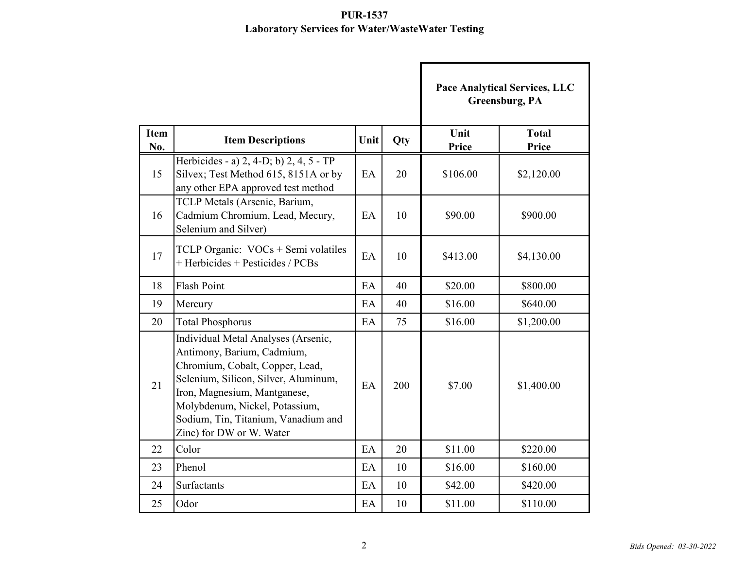|                    |                                                                                                                                                                                                                                                                                   |      |     | Pace Analytical Services, LLC<br><b>Greensburg, PA</b> |                       |  |
|--------------------|-----------------------------------------------------------------------------------------------------------------------------------------------------------------------------------------------------------------------------------------------------------------------------------|------|-----|--------------------------------------------------------|-----------------------|--|
| <b>Item</b><br>No. | <b>Item Descriptions</b>                                                                                                                                                                                                                                                          | Unit | Qty | Unit<br>Price                                          | <b>Total</b><br>Price |  |
| 15                 | Herbicides - a) 2, 4-D; b) 2, 4, 5 - TP<br>Silvex; Test Method 615, 8151A or by<br>any other EPA approved test method                                                                                                                                                             | EA   | 20  | \$106.00                                               | \$2,120.00            |  |
| 16                 | TCLP Metals (Arsenic, Barium,<br>Cadmium Chromium, Lead, Mecury,<br>Selenium and Silver)                                                                                                                                                                                          | EA   | 10  | \$90.00                                                | \$900.00              |  |
| 17                 | TCLP Organic: $VOCs + Semi$ volatiles<br>$+$ Herbicides $+$ Pesticides / PCBs                                                                                                                                                                                                     | EA   | 10  | \$413.00                                               | \$4,130.00            |  |
| 18                 | <b>Flash Point</b>                                                                                                                                                                                                                                                                | EA   | 40  | \$20.00                                                | \$800.00              |  |
| 19                 | Mercury                                                                                                                                                                                                                                                                           | EA   | 40  | \$16.00                                                | \$640.00              |  |
| 20                 | <b>Total Phosphorus</b>                                                                                                                                                                                                                                                           | EA   | 75  | \$16.00                                                | \$1,200.00            |  |
| 21                 | Individual Metal Analyses (Arsenic,<br>Antimony, Barium, Cadmium,<br>Chromium, Cobalt, Copper, Lead,<br>Selenium, Silicon, Silver, Aluminum,<br>Iron, Magnesium, Mantganese,<br>Molybdenum, Nickel, Potassium,<br>Sodium, Tin, Titanium, Vanadium and<br>Zinc) for DW or W. Water | EA   | 200 | \$7.00                                                 | \$1,400.00            |  |
| 22                 | Color                                                                                                                                                                                                                                                                             | EA   | 20  | \$11.00                                                | \$220.00              |  |
| 23                 | Phenol                                                                                                                                                                                                                                                                            | EA   | 10  | \$16.00                                                | \$160.00              |  |
| 24                 | Surfactants                                                                                                                                                                                                                                                                       | EA   | 10  | \$42.00                                                | \$420.00              |  |
| 25                 | Odor                                                                                                                                                                                                                                                                              | EA   | 10  | \$11.00                                                | \$110.00              |  |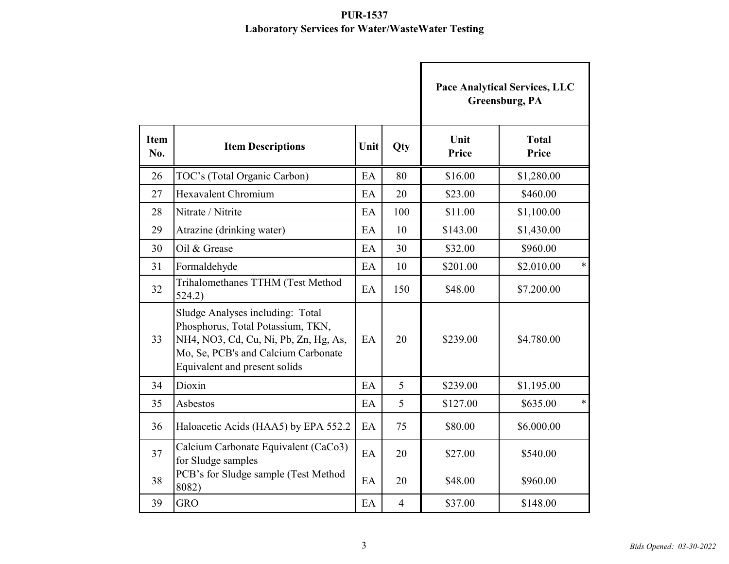|                    |                                                                                                                                                                                        |      |                |               | Pace Analytical Services, LLC<br>Greensburg, PA |  |
|--------------------|----------------------------------------------------------------------------------------------------------------------------------------------------------------------------------------|------|----------------|---------------|-------------------------------------------------|--|
| <b>Item</b><br>No. | <b>Item Descriptions</b>                                                                                                                                                               | Unit | <b>Qty</b>     | Unit<br>Price | <b>Total</b><br>Price                           |  |
| 26                 | TOC's (Total Organic Carbon)                                                                                                                                                           | EA   | 80             | \$16.00       | \$1,280.00                                      |  |
| 27                 | Hexavalent Chromium                                                                                                                                                                    | EA   | 20             | \$23.00       | \$460.00                                        |  |
| 28                 | Nitrate / Nitrite                                                                                                                                                                      | EA   | 100            | \$11.00       | \$1,100.00                                      |  |
| 29                 | Atrazine (drinking water)                                                                                                                                                              | EA   | 10             | \$143.00      | \$1,430.00                                      |  |
| 30                 | Oil & Grease                                                                                                                                                                           | EA   | 30             | \$32.00       | \$960.00                                        |  |
| 31                 | Formaldehyde                                                                                                                                                                           | EA   | 10             | \$201.00      | $\ast$<br>\$2,010.00                            |  |
| 32                 | Trihalomethanes TTHM (Test Method<br>524.2)                                                                                                                                            | EA   | 150            | \$48.00       | \$7,200.00                                      |  |
| 33                 | Sludge Analyses including: Total<br>Phosphorus, Total Potassium, TKN,<br>NH4, NO3, Cd, Cu, Ni, Pb, Zn, Hg, As,<br>Mo, Se, PCB's and Calcium Carbonate<br>Equivalent and present solids | EA   | 20             | \$239.00      | \$4,780.00                                      |  |
| 34                 | Dioxin                                                                                                                                                                                 | EA   | 5              | \$239.00      | \$1,195.00                                      |  |
| 35                 | Asbestos                                                                                                                                                                               | EA   | 5              | \$127.00      | $\ast$<br>\$635.00                              |  |
| 36                 | Haloacetic Acids (HAA5) by EPA 552.2                                                                                                                                                   | EA   | 75             | \$80.00       | \$6,000.00                                      |  |
| 37                 | Calcium Carbonate Equivalent (CaCo3)<br>for Sludge samples                                                                                                                             | EA   | 20             | \$27.00       | \$540.00                                        |  |
| 38                 | PCB's for Sludge sample (Test Method<br>8082)                                                                                                                                          | EA   | 20             | \$48.00       | \$960.00                                        |  |
| 39                 | <b>GRO</b>                                                                                                                                                                             | EA   | $\overline{4}$ | \$37.00       | \$148.00                                        |  |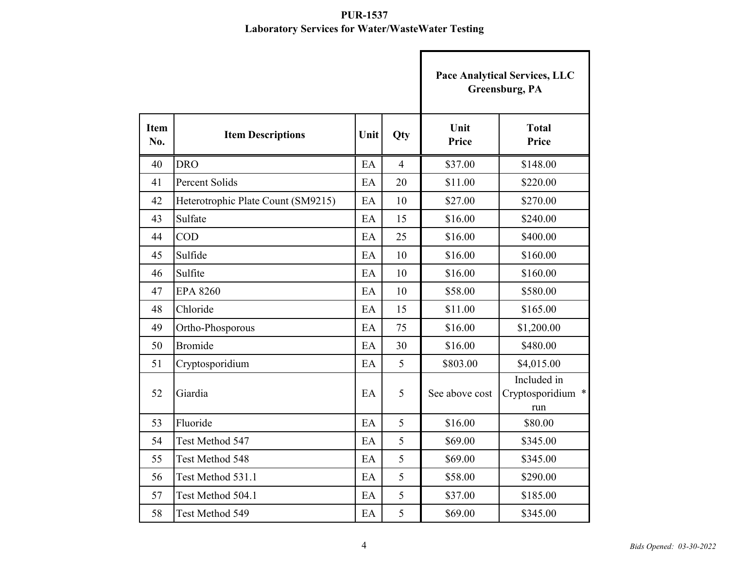|                    |                                    |      |                |                | <b>Pace Analytical Services, LLC</b><br>Greensburg, PA |
|--------------------|------------------------------------|------|----------------|----------------|--------------------------------------------------------|
| <b>Item</b><br>No. | <b>Item Descriptions</b>           | Unit | Qty            | Unit<br>Price  | <b>Total</b><br>Price                                  |
| 40                 | <b>DRO</b>                         | EA   | $\overline{4}$ | \$37.00        | \$148.00                                               |
| 41                 | <b>Percent Solids</b>              | EA   | 20             | \$11.00        | \$220.00                                               |
| 42                 | Heterotrophic Plate Count (SM9215) | EA   | 10             | \$27.00        | \$270.00                                               |
| 43                 | Sulfate                            | EA   | 15             | \$16.00        | \$240.00                                               |
| 44                 | <b>COD</b>                         | EA   | 25             | \$16.00        | \$400.00                                               |
| 45                 | Sulfide                            | EA   | 10             | \$16.00        | \$160.00                                               |
| 46                 | Sulfite                            | EA   | 10             | \$16.00        | \$160.00                                               |
| 47                 | <b>EPA 8260</b>                    | EA   | 10             | \$58.00        | \$580.00                                               |
| 48                 | Chloride                           | EA   | 15             | \$11.00        | \$165.00                                               |
| 49                 | Ortho-Phosporous                   | EA   | 75             | \$16.00        | \$1,200.00                                             |
| 50                 | <b>Bromide</b>                     | EA   | 30             | \$16.00        | \$480.00                                               |
| 51                 | Cryptosporidium                    | EA   | 5              | \$803.00       | \$4,015.00                                             |
| 52                 | Giardia                            | EA   | 5              | See above cost | Included in<br>Cryptosporidium *<br>run                |
| 53                 | Fluoride                           | EA   | 5              | \$16.00        | \$80.00                                                |
| 54                 | Test Method 547                    | EA   | 5              | \$69.00        | \$345.00                                               |
| 55                 | Test Method 548                    | EA   | 5              | \$69.00        | \$345.00                                               |
| 56                 | Test Method 531.1                  | EA   | 5              | \$58.00        | \$290.00                                               |
| 57                 | Test Method 504.1                  | EA   | 5              | \$37.00        | \$185.00                                               |
| 58                 | Test Method 549                    | EA   | 5              | \$69.00        | \$345.00                                               |